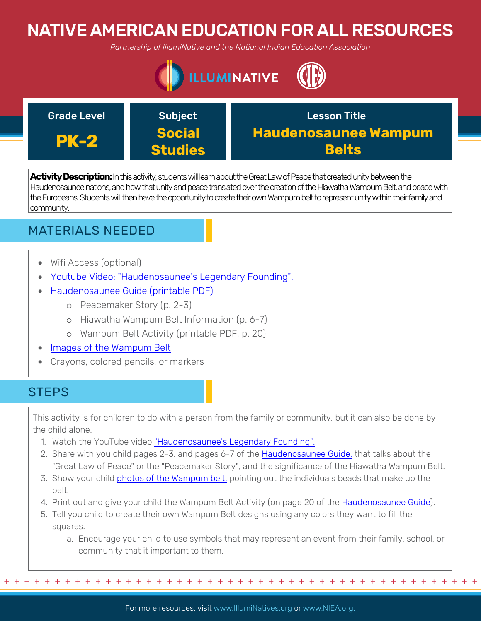# NATIVE AMERICAN EDUCATION FOR ALL RESOURCES

*Partnership of IllumiNative and the National Indian Education Association*



| <b>Grade Level</b> | <b>Subject</b> | <b>Lesson Title</b>         |
|--------------------|----------------|-----------------------------|
| <b>PK-2</b>        | <b>Social</b>  | <b>Haudenosaunee Wampum</b> |
|                    | <b>Studies</b> | <b>Belts</b>                |

**Activity Description:**In this activity, students will learn about the Great Law of Peace that created unity between the Haudenosaunee nations, and how that unity and peace translated over the creation of the Hiawatha Wampum Belt, and peace with the Europeans. Students will then have the opportunity to create their own Wampum belt to represent unity within their family and community.

# MATERIALS NEEDED

- Wifi Access (optional)
- [Youtube Video: "Haudenosaunee's Legendary Founding".](https://www.youtube.com/watch?v=D0elAQYLdfc)
- [Haudenosaunee Guide \(printable PDF\)](https://americanindian.si.edu/sites/1/files/pdf/education/HaudenosauneeGuide.pdf)
	- o Peacemaker Story (p. 2-3)
	- o Hiawatha Wampum Belt Information (p. 6-7)
	- o Wampum Belt Activity (printable PDF, p. 20)
- [Images of the Wampum Belt](https://ktvirtualmuseumproject.weebly.com/the-hiawatha-wampum-belt.html)
- Crayons, colored pencils, or markers

# **STEPS**

This activity is for children to do with a person from the family or community, but it can also be done by the child alone.

- 1. Watch the YouTube video ["Haudenosaunee's Legendary Founding".](https://www.youtube.com/watch?v=D0elAQYLdfc)
- 2. Share with you child pages 2-3, and pages 6-7 of the [Haudenosaunee Guide,](https://americanindian.si.edu/sites/1/files/pdf/education/HaudenosauneeGuide.pdf) that talks about the "Great Law of Peace" or the "Peacemaker Story", and the significance of the Hiawatha Wampum Belt.
- 3. Show your child [photos of the Wampum belt,](https://ktvirtualmuseumproject.weebly.com/the-hiawatha-wampum-belt.html) pointing out the individuals beads that make up the belt.
- 4. Print out and give your child the Wampum Belt Activity (on page 20 of the [Haudenosaunee Guide](https://americanindian.si.edu/sites/1/files/pdf/education/HaudenosauneeGuide.pdf)).
- 5. Tell you child to create their own Wampum Belt designs using any colors they want to fill the squares.
	- a. Encourage your child to use symbols that may represent an event from their family, school, or community that it important to them.

For more resources, visit www.lllumiNatives.org or www.NIEA.org.

+ + + + + + + + + + + + + + + + + + + + + + + + + + + + + + + + + + + + + + + + + + + + + + + +